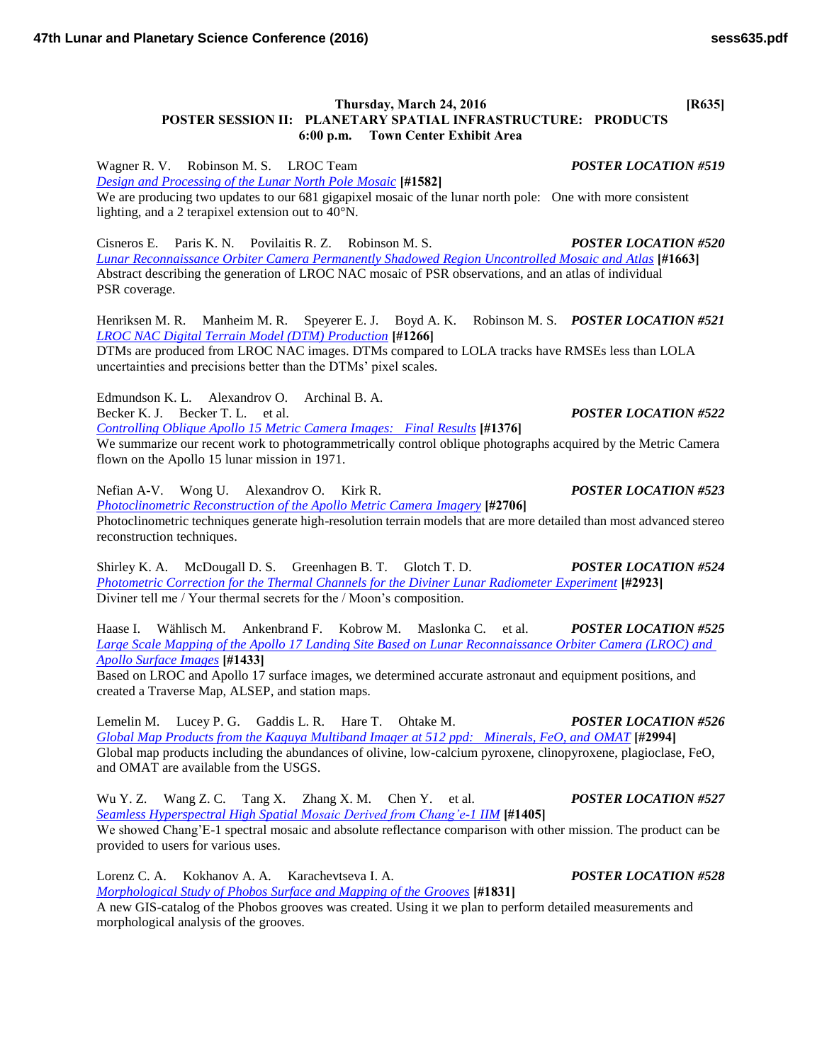## **Thursday, March 24, 2016 [R635] POSTER SESSION II: PLANETARY SPATIAL INFRASTRUCTURE: PRODUCTS 6:00 p.m. Town Center Exhibit Area**

Wagner R. V. Robinson M. S. LROC Team *POSTER LOCATION #519 [Design and Processing of the Lunar North Pole Mosaic](http://www.hou.usra.edu/meetings/lpsc2016/pdf/1582.pdf)* **[#1582]** We are producing two updates to our 681 gigapixel mosaic of the lunar north pole: One with more consistent lighting, and a 2 terapixel extension out to 40°N.

Cisneros E. Paris K. N. Povilaitis R. Z. Robinson M. S. *POSTER LOCATION #520 [Lunar Reconnaissance Orbiter Camera Permanently Shadowed Region Uncontrolled Mosaic and Atlas](http://www.hou.usra.edu/meetings/lpsc2016/pdf/1663.pdf)* **[#1663]** Abstract describing the generation of LROC NAC mosaic of PSR observations, and an atlas of individual PSR coverage.

Henriksen M. R. Manheim M. R. Speyerer E. J. Boyd A. K. Robinson M. S. *POSTER LOCATION #521 [LROC NAC Digital Terrain Model \(DTM\) Production](http://www.hou.usra.edu/meetings/lpsc2016/pdf/1266.pdf)* **[#1266]**

DTMs are produced from LROC NAC images. DTMs compared to LOLA tracks have RMSEs less than LOLA uncertainties and precisions better than the DTMs' pixel scales.

Edmundson K. L. Alexandrov O. Archinal B. A.

Becker K. J. Becker T. L. et al. *POSTER LOCATION #522*

*[Controlling Oblique Apollo 15 Metric Camera Images: Final Results](http://www.hou.usra.edu/meetings/lpsc2016/pdf/1376.pdf)* **[#1376]** We summarize our recent work to photogrammetrically control oblique photographs acquired by the Metric Camera flown on the Apollo 15 lunar mission in 1971.

Nefian A-V. Wong U. Alexandrov O. Kirk R. *POSTER LOCATION #523 [Photoclinometric Reconstruction of the Apollo Metric Camera Imagery](http://www.hou.usra.edu/meetings/lpsc2016/pdf/2706.pdf)* **[#2706]** Photoclinometric techniques generate high-resolution terrain models that are more detailed than most advanced stereo reconstruction techniques.

Shirley K. A. McDougall D. S. Greenhagen B. T. Glotch T. D. *POSTER LOCATION #524 [Photometric Correction for the Thermal Channels for the Diviner Lunar Radiometer Experiment](http://www.hou.usra.edu/meetings/lpsc2016/pdf/2923.pdf)* **[#2923]** Diviner tell me / Your thermal secrets for the / Moon's composition.

Haase I. Wählisch M. Ankenbrand F. Kobrow M. Maslonka C. et al. *POSTER LOCATION #525 [Large Scale Mapping of the Apollo 17 Landing Site Based on Lunar Reconnaissance Orbiter Camera \(LROC\) and](http://www.hou.usra.edu/meetings/lpsc2016/pdf/1433.pdf)  [Apollo Surface Images](http://www.hou.usra.edu/meetings/lpsc2016/pdf/1433.pdf)* **[#1433]**

Based on LROC and Apollo 17 surface images, we determined accurate astronaut and equipment positions, and created a Traverse Map, ALSEP, and station maps.

Lemelin M. Lucey P. G. Gaddis L. R. Hare T. Ohtake M. *POSTER LOCATION #526 [Global Map Products from the Kaguya Multiband Imager at 512 ppd: Minerals, FeO, and OMAT](http://www.hou.usra.edu/meetings/lpsc2016/pdf/2994.pdf)* **[#2994]** Global map products including the abundances of olivine, low-calcium pyroxene, clinopyroxene, plagioclase, FeO, and OMAT are available from the USGS.

Wu Y. Z. Wang Z. C. Tang X. Zhang X. M. Chen Y. et al. *POSTER LOCATION #527 [Seamless Hyperspectral High Spatial Mosaic Derived from Chang'e-1 IIM](http://www.hou.usra.edu/meetings/lpsc2016/pdf/1405.pdf)* **[#1405]** We showed Chang'E-1 spectral mosaic and absolute reflectance comparison with other mission. The product can be provided to users for various uses.

Lorenz C. A. Kokhanov A. A. Karachevtseva I. A. *POSTER LOCATION #528 [Morphological Study of Phobos Surface and Mapping of the Grooves](http://www.hou.usra.edu/meetings/lpsc2016/pdf/1831.pdf)* **[#1831]**

A new GIS-catalog of the Phobos grooves was created. Using it we plan to perform detailed measurements and morphological analysis of the grooves.